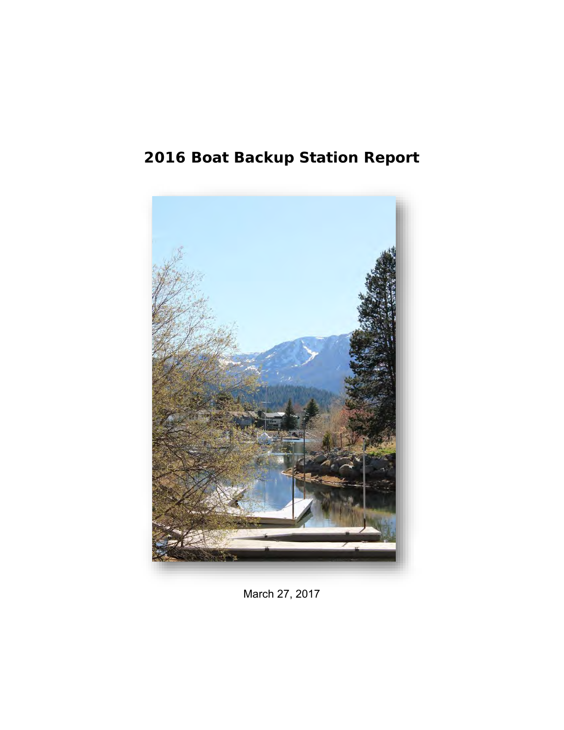# **2016 Boat Backup Station Report**



March 27, 2017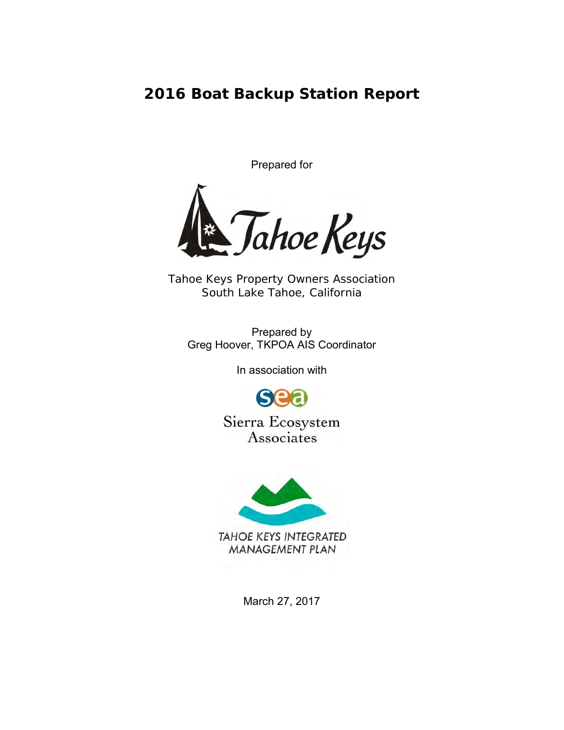**2016 Boat Backup Station Report**

Prepared for



*Tahoe Keys Property Owners Association South Lake Tahoe, California*

Prepared by Greg Hoover, TKPOA AIS Coordinator

In association with



Sierra Ecosystem Associates



March 27, 2017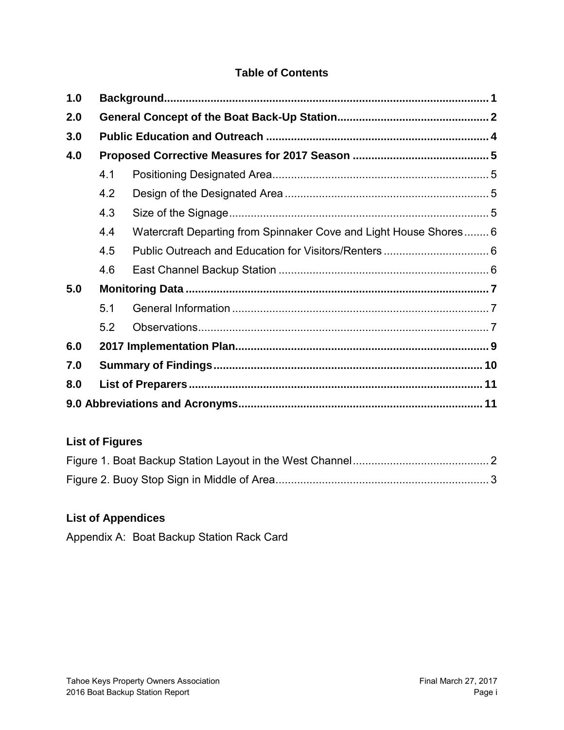# **Table of Contents**

| 1.0 |     |                                                                   |  |  |  |
|-----|-----|-------------------------------------------------------------------|--|--|--|
| 2.0 |     |                                                                   |  |  |  |
| 3.0 |     |                                                                   |  |  |  |
| 4.0 |     |                                                                   |  |  |  |
|     | 4.1 |                                                                   |  |  |  |
|     | 4.2 |                                                                   |  |  |  |
|     | 4.3 |                                                                   |  |  |  |
|     | 4.4 | Watercraft Departing from Spinnaker Cove and Light House Shores 6 |  |  |  |
|     | 4.5 |                                                                   |  |  |  |
|     | 4.6 |                                                                   |  |  |  |
| 5.0 |     |                                                                   |  |  |  |
|     | 5.1 |                                                                   |  |  |  |
|     | 5.2 |                                                                   |  |  |  |
| 6.0 |     |                                                                   |  |  |  |
| 7.0 |     |                                                                   |  |  |  |
| 8.0 |     |                                                                   |  |  |  |
|     |     |                                                                   |  |  |  |

# **List of Figures**

# **List of Appendices**

Appendix A: Boat Backup Station Rack Card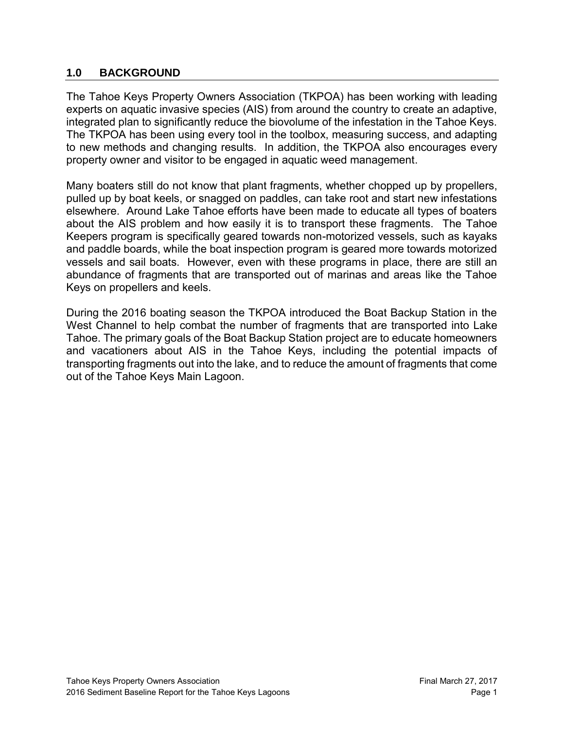## <span id="page-3-0"></span>**1.0 BACKGROUND**

The Tahoe Keys Property Owners Association (TKPOA) has been working with leading experts on aquatic invasive species (AIS) from around the country to create an adaptive, integrated plan to significantly reduce the biovolume of the infestation in the Tahoe Keys. The TKPOA has been using every tool in the toolbox, measuring success, and adapting to new methods and changing results. In addition, the TKPOA also encourages every property owner and visitor to be engaged in aquatic weed management.

Many boaters still do not know that plant fragments, whether chopped up by propellers, pulled up by boat keels, or snagged on paddles, can take root and start new infestations elsewhere. Around Lake Tahoe efforts have been made to educate all types of boaters about the AIS problem and how easily it is to transport these fragments. The Tahoe Keepers program is specifically geared towards non-motorized vessels, such as kayaks and paddle boards, while the boat inspection program is geared more towards motorized vessels and sail boats. However, even with these programs in place, there are still an abundance of fragments that are transported out of marinas and areas like the Tahoe Keys on propellers and keels.

During the 2016 boating season the TKPOA introduced the Boat Backup Station in the West Channel to help combat the number of fragments that are transported into Lake Tahoe. The primary goals of the Boat Backup Station project are to educate homeowners and vacationers about AIS in the Tahoe Keys, including the potential impacts of transporting fragments out into the lake, and to reduce the amount of fragments that come out of the Tahoe Keys Main Lagoon.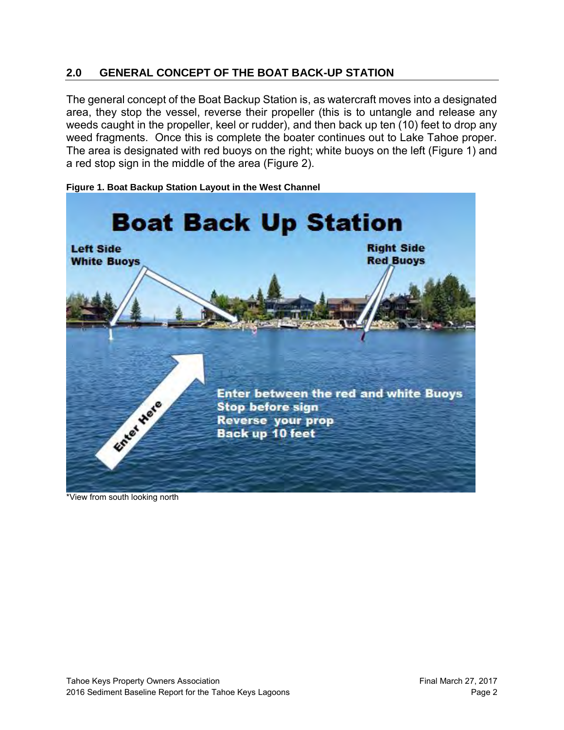# <span id="page-4-0"></span>**2.0 GENERAL CONCEPT OF THE BOAT BACK-UP STATION**

The general concept of the Boat Backup Station is, as watercraft moves into a designated area, they stop the vessel, reverse their propeller (this is to untangle and release any weeds caught in the propeller, keel or rudder), and then back up ten (10) feet to drop any weed fragments. Once this is complete the boater continues out to Lake Tahoe proper. The area is designated with red buoys on the right; white buoys on the left (Figure 1) and a red stop sign in the middle of the area (Figure 2).



<span id="page-4-1"></span>**Figure 1. Boat Backup Station Layout in the West Channel**

\*View from south looking north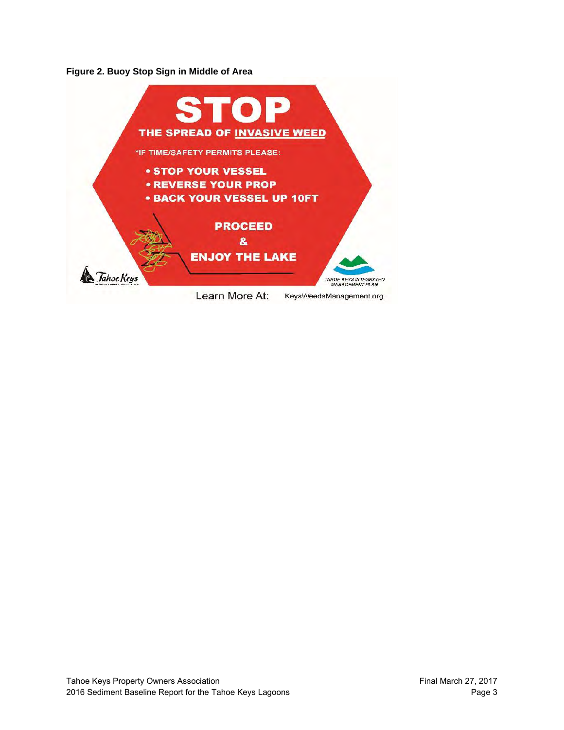<span id="page-5-0"></span>**Figure 2. Buoy Stop Sign in Middle of Area**

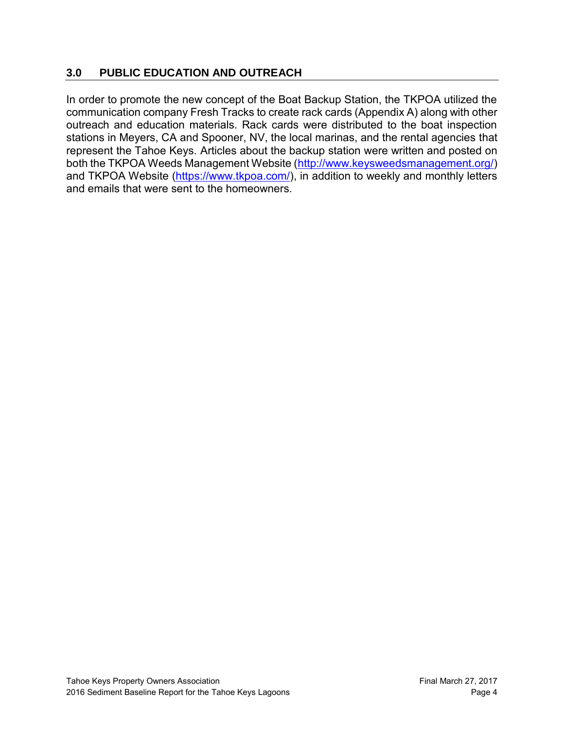# <span id="page-6-0"></span>**3.0 PUBLIC EDUCATION AND OUTREACH**

In order to promote the new concept of the Boat Backup Station, the TKPOA utilized the communication company Fresh Tracks to create rack cards (Appendix A) along with other outreach and education materials. Rack cards were distributed to the boat inspection stations in Meyers, CA and Spooner, NV, the local marinas, and the rental agencies that represent the Tahoe Keys. Articles about the backup station were written and posted on both the TKPOA Weeds Management Website [\(http://www.keysweedsmanagement.org/\)](http://www.keysweedsmanagement.org/) and TKPOA Website [\(https://www.tkpoa.com/\)](https://www.tkpoa.com/), in addition to weekly and monthly letters and emails that were sent to the homeowners.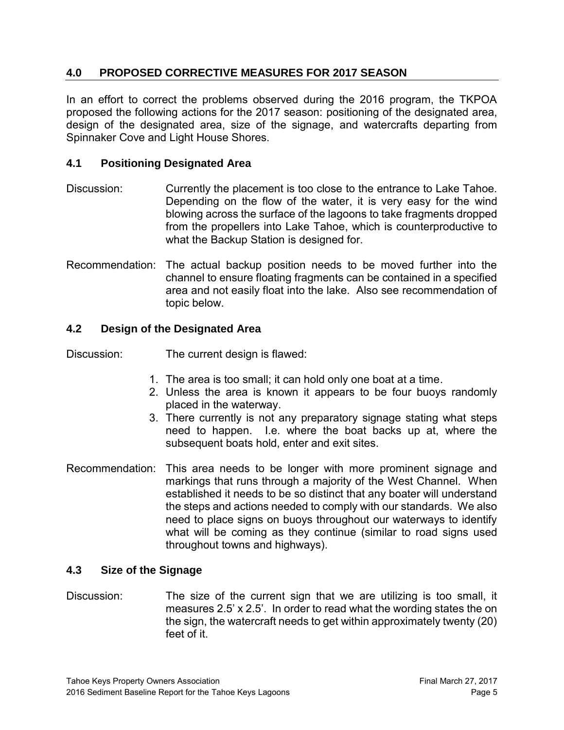# <span id="page-7-0"></span>**4.0 PROPOSED CORRECTIVE MEASURES FOR 2017 SEASON**

In an effort to correct the problems observed during the 2016 program, the TKPOA proposed the following actions for the 2017 season: positioning of the designated area, design of the designated area, size of the signage, and watercrafts departing from Spinnaker Cove and Light House Shores.

## <span id="page-7-1"></span>**4.1 Positioning Designated Area**

- Discussion: Currently the placement is too close to the entrance to Lake Tahoe. Depending on the flow of the water, it is very easy for the wind blowing across the surface of the lagoons to take fragments dropped from the propellers into Lake Tahoe, which is counterproductive to what the Backup Station is designed for.
- Recommendation: The actual backup position needs to be moved further into the channel to ensure floating fragments can be contained in a specified area and not easily float into the lake. Also see recommendation of topic below.

## <span id="page-7-2"></span>**4.2 Design of the Designated Area**

Discussion: The current design is flawed:

- 1. The area is too small; it can hold only one boat at a time.
- 2. Unless the area is known it appears to be four buoys randomly placed in the waterway.
- 3. There currently is not any preparatory signage stating what steps need to happen. I.e. where the boat backs up at, where the subsequent boats hold, enter and exit sites.
- Recommendation: This area needs to be longer with more prominent signage and markings that runs through a majority of the West Channel. When established it needs to be so distinct that any boater will understand the steps and actions needed to comply with our standards. We also need to place signs on buoys throughout our waterways to identify what will be coming as they continue (similar to road signs used throughout towns and highways).

#### <span id="page-7-3"></span>**4.3 Size of the Signage**

Discussion: The size of the current sign that we are utilizing is too small, it measures 2.5' x 2.5'. In order to read what the wording states the on the sign, the watercraft needs to get within approximately twenty (20) feet of it.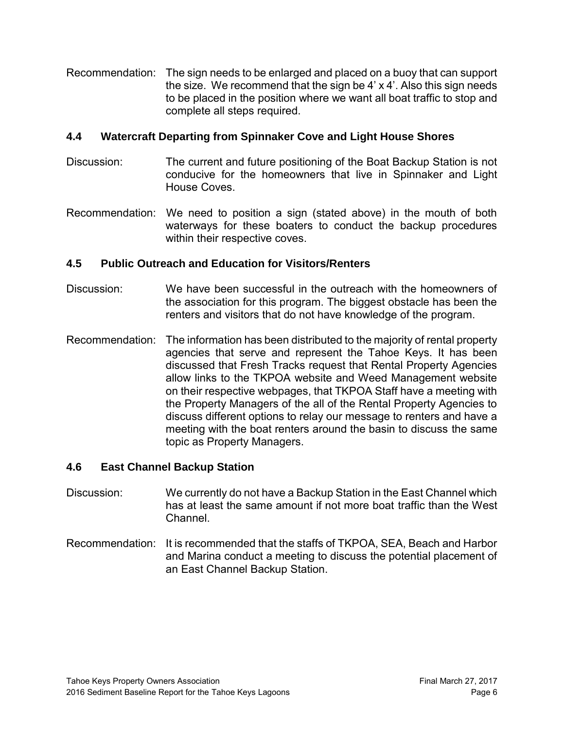Recommendation: The sign needs to be enlarged and placed on a buoy that can support the size. We recommend that the sign be 4' x 4'. Also this sign needs to be placed in the position where we want all boat traffic to stop and complete all steps required.

## <span id="page-8-0"></span>**4.4 Watercraft Departing from Spinnaker Cove and Light House Shores**

- Discussion: The current and future positioning of the Boat Backup Station is not conducive for the homeowners that live in Spinnaker and Light House Coves.
- Recommendation: We need to position a sign (stated above) in the mouth of both waterways for these boaters to conduct the backup procedures within their respective coves.

# <span id="page-8-1"></span>**4.5 Public Outreach and Education for Visitors/Renters**

- Discussion: We have been successful in the outreach with the homeowners of the association for this program. The biggest obstacle has been the renters and visitors that do not have knowledge of the program.
- Recommendation: The information has been distributed to the majority of rental property agencies that serve and represent the Tahoe Keys. It has been discussed that Fresh Tracks request that Rental Property Agencies allow links to the TKPOA website and Weed Management website on their respective webpages, that TKPOA Staff have a meeting with the Property Managers of the all of the Rental Property Agencies to discuss different options to relay our message to renters and have a meeting with the boat renters around the basin to discuss the same topic as Property Managers.

# <span id="page-8-2"></span>**4.6 East Channel Backup Station**

- Discussion: We currently do not have a Backup Station in the East Channel which has at least the same amount if not more boat traffic than the West Channel.
- Recommendation: It is recommended that the staffs of TKPOA, SEA, Beach and Harbor and Marina conduct a meeting to discuss the potential placement of an East Channel Backup Station.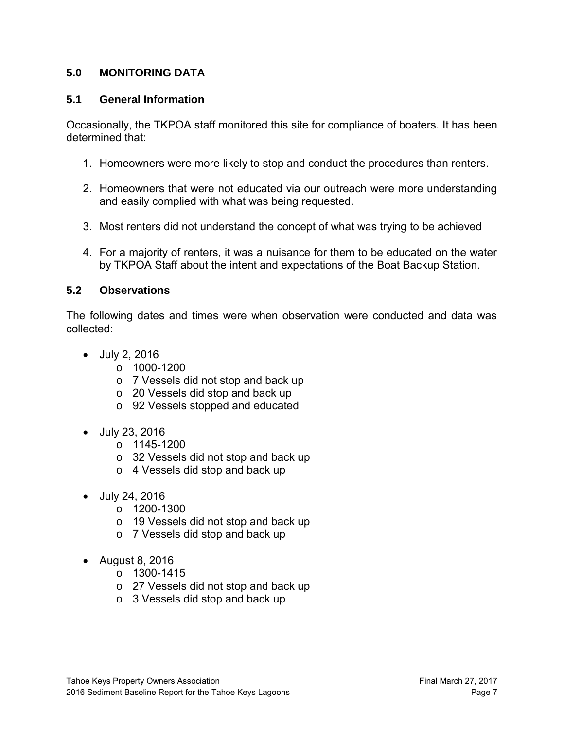#### <span id="page-9-0"></span>**5.0 MONITORING DATA**

#### <span id="page-9-1"></span>**5.1 General Information**

Occasionally, the TKPOA staff monitored this site for compliance of boaters. It has been determined that:

- 1. Homeowners were more likely to stop and conduct the procedures than renters.
- 2. Homeowners that were not educated via our outreach were more understanding and easily complied with what was being requested.
- 3. Most renters did not understand the concept of what was trying to be achieved
- 4. For a majority of renters, it was a nuisance for them to be educated on the water by TKPOA Staff about the intent and expectations of the Boat Backup Station.

#### <span id="page-9-2"></span>**5.2 Observations**

The following dates and times were when observation were conducted and data was collected:

- July 2, 2016
	- $\circ$  1000-1200
	- o 7 Vessels did not stop and back up
	- o 20 Vessels did stop and back up
	- o 92 Vessels stopped and educated
- July 23, 2016
	- o 1145-1200
	- o 32 Vessels did not stop and back up
	- o 4 Vessels did stop and back up
- July 24, 2016
	- o 1200-1300
	- o 19 Vessels did not stop and back up
	- o 7 Vessels did stop and back up
- August 8, 2016
	- o 1300-1415
	- o 27 Vessels did not stop and back up
	- o 3 Vessels did stop and back up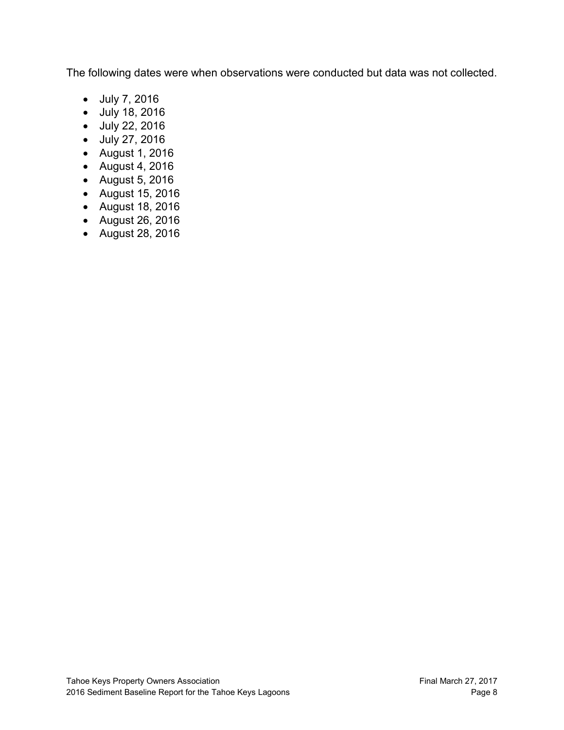The following dates were when observations were conducted but data was not collected.

- July 7, 2016
- July 18, 2016
- July 22, 2016
- July 27, 2016
- August 1, 2016
- August 4, 2016
- August 5, 2016
- August 15, 2016
- August 18, 2016
- August 26, 2016
- August 28, 2016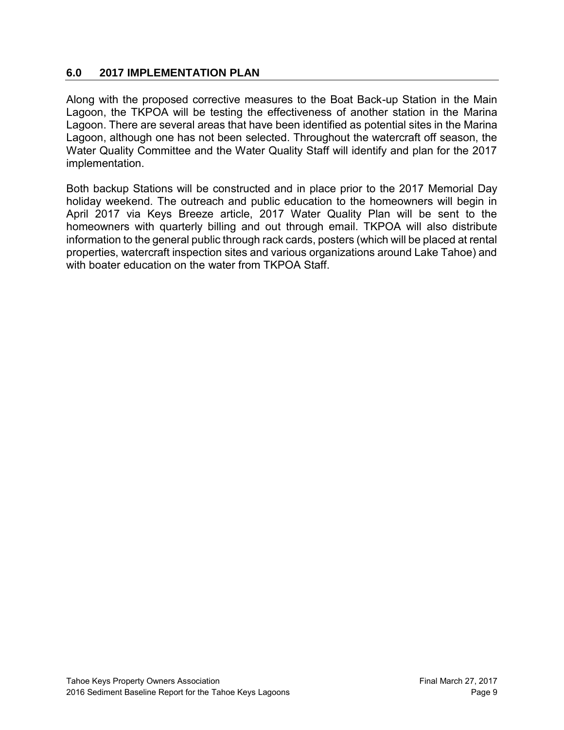### <span id="page-11-0"></span>**6.0 2017 IMPLEMENTATION PLAN**

Along with the proposed corrective measures to the Boat Back-up Station in the Main Lagoon, the TKPOA will be testing the effectiveness of another station in the Marina Lagoon. There are several areas that have been identified as potential sites in the Marina Lagoon, although one has not been selected. Throughout the watercraft off season, the Water Quality Committee and the Water Quality Staff will identify and plan for the 2017 implementation.

Both backup Stations will be constructed and in place prior to the 2017 Memorial Day holiday weekend. The outreach and public education to the homeowners will begin in April 2017 via Keys Breeze article, 2017 Water Quality Plan will be sent to the homeowners with quarterly billing and out through email. TKPOA will also distribute information to the general public through rack cards, posters (which will be placed at rental properties, watercraft inspection sites and various organizations around Lake Tahoe) and with boater education on the water from TKPOA Staff.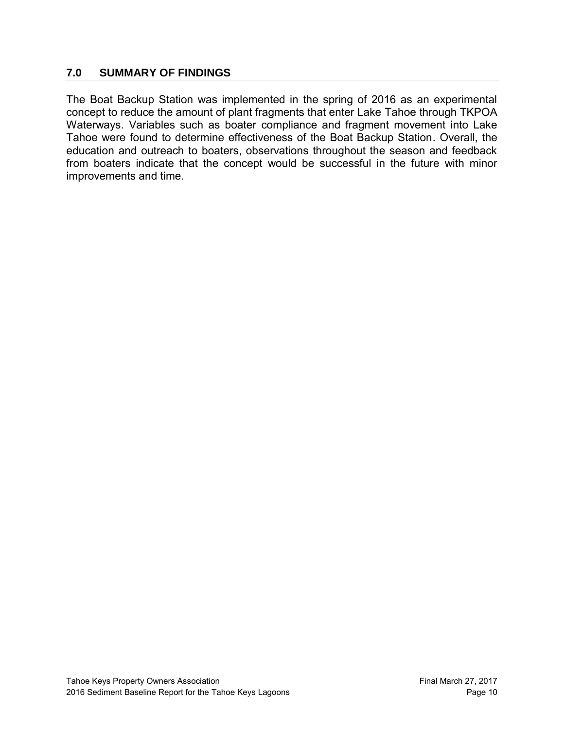#### <span id="page-12-0"></span>**7.0 SUMMARY OF FINDINGS**

The Boat Backup Station was implemented in the spring of 2016 as an experimental concept to reduce the amount of plant fragments that enter Lake Tahoe through TKPOA Waterways. Variables such as boater compliance and fragment movement into Lake Tahoe were found to determine effectiveness of the Boat Backup Station. Overall, the education and outreach to boaters, observations throughout the season and feedback from boaters indicate that the concept would be successful in the future with minor improvements and time.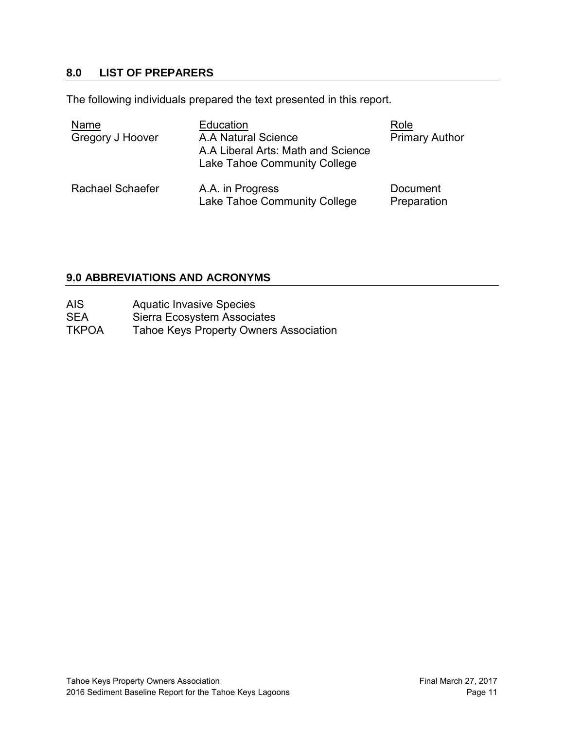### <span id="page-13-0"></span>**8.0 LIST OF PREPARERS**

The following individuals prepared the text presented in this report.

| Name<br><b>Gregory J Hoover</b> | Education<br>A.A Natural Science<br>A.A Liberal Arts: Math and Science<br>Lake Tahoe Community College | Role<br><b>Primary Author</b> |
|---------------------------------|--------------------------------------------------------------------------------------------------------|-------------------------------|
| Rachael Schaefer                | A.A. in Progress<br>Lake Tahoe Community College                                                       | Document<br>Preparation       |

# <span id="page-13-1"></span>**9.0 ABBREVIATIONS AND ACRONYMS**

| AIS | <b>Aquatic Invasive Species</b> |
|-----|---------------------------------|
|-----|---------------------------------|

- SEA Sierra Ecosystem Associates<br>TKPOA Tahoe Keys Property Owners
- Tahoe Keys Property Owners Association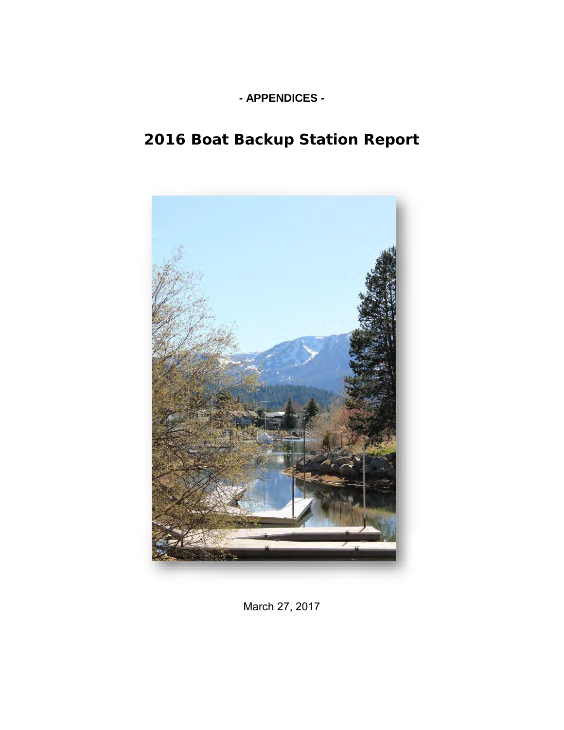# **- APPENDICES -**

# **2016 Boat Backup Station Report**



March 27, 2017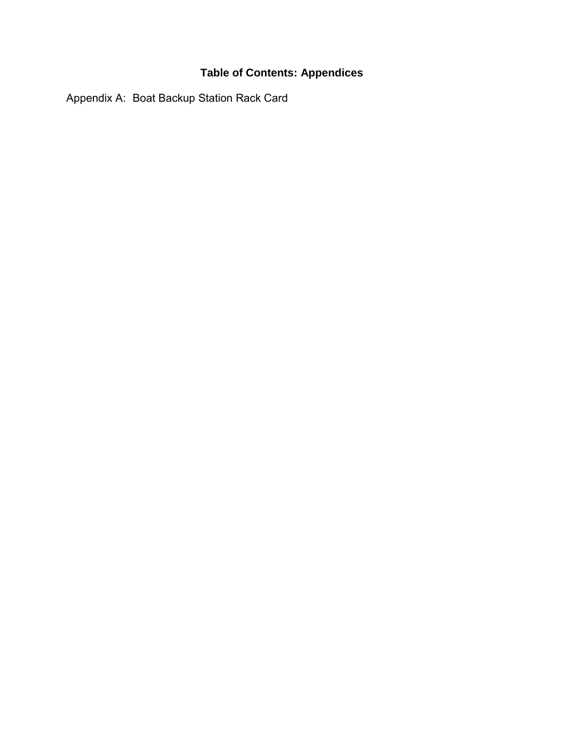# **Table of Contents: Appendices**

Appendix A: Boat Backup Station Rack Card